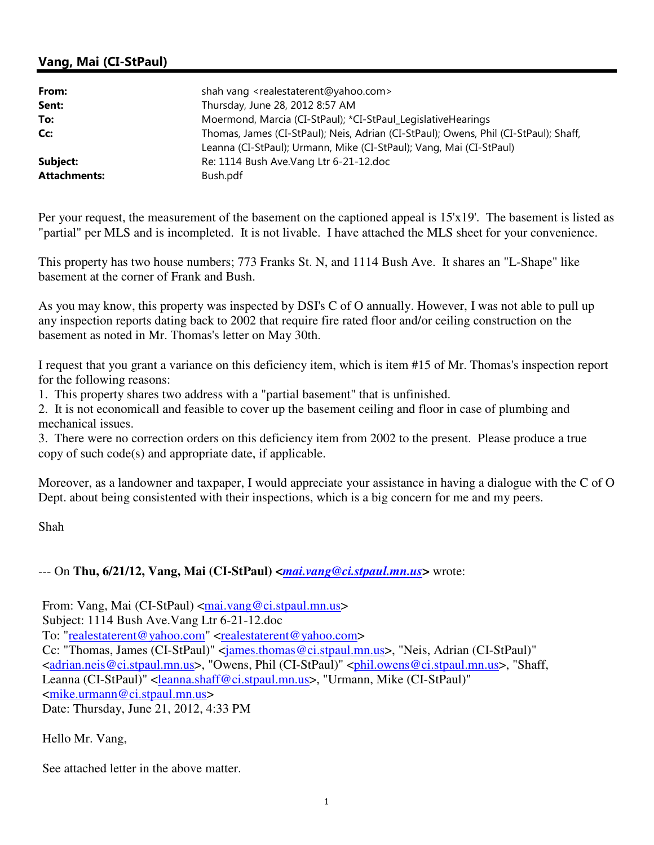## Vang, Mai (CI-StPaul)

| From:               | shah vang <realestaterent@yahoo.com></realestaterent@yahoo.com>                                                                                             |
|---------------------|-------------------------------------------------------------------------------------------------------------------------------------------------------------|
| Sent:               | Thursday, June 28, 2012 8:57 AM                                                                                                                             |
| To:                 | Moermond, Marcia (CI-StPaul); *CI-StPaul_LegislativeHearings                                                                                                |
| Cc:                 | Thomas, James (CI-StPaul); Neis, Adrian (CI-StPaul); Owens, Phil (CI-StPaul); Shaff,<br>Leanna (CI-StPaul); Urmann, Mike (CI-StPaul); Vang, Mai (CI-StPaul) |
| Subject:            | Re: 1114 Bush Ave. Vang Ltr 6-21-12. doc                                                                                                                    |
| <b>Attachments:</b> | Bush.pdf                                                                                                                                                    |

Per your request, the measurement of the basement on the captioned appeal is 15'x19'. The basement is listed as "partial" per MLS and is incompleted. It is not livable. I have attached the MLS sheet for your convenience.

This property has two house numbers; 773 Franks St. N, and 1114 Bush Ave. It shares an "L-Shape" like basement at the corner of Frank and Bush.

As you may know, this property was inspected by DSI's C of O annually. However, I was not able to pull up any inspection reports dating back to 2002 that require fire rated floor and/or ceiling construction on the basement as noted in Mr. Thomas's letter on May 30th.

I request that you grant a variance on this deficiency item, which is item #15 of Mr. Thomas's inspection report for the following reasons:

1. This property shares two address with a "partial basement" that is unfinished.

2. It is not economicall and feasible to cover up the basement ceiling and floor in case of plumbing and mechanical issues.

3. There were no correction orders on this deficiency item from 2002 to the present. Please produce a true copy of such code(s) and appropriate date, if applicable.

Moreover, as a landowner and taxpaper, I would appreciate your assistance in having a dialogue with the C of O Dept. about being consistented with their inspections, which is a big concern for me and my peers.

Shah

## --- On Thu, 6/21/12, Vang, Mai (CI-StPaul)  $\leq$ *mai.vang@ci.stpaul.mn.us*> wrote:

From: Vang, Mai (CI-StPaul) <mai.vang@ci.stpaul.mn.us>

Subject: 1114 Bush Ave.Vang Ltr 6-21-12.doc

To: "realestaterent@yahoo.com" <realestaterent@yahoo.com>

Cc: "Thomas, James (CI-StPaul)" <james.thomas@ci.stpaul.mn.us>, "Neis, Adrian (CI-StPaul)"

<adrian.neis@ci.stpaul.mn.us>, "Owens, Phil (CI-StPaul)" <phil.owens@ci.stpaul.mn.us>, "Shaff,

Leanna (CI-StPaul)" <leanna.shaff@ci.stpaul.mn.us>, "Urmann, Mike (CI-StPaul)"

<mike.urmann@ci.stpaul.mn.us>

Date: Thursday, June 21, 2012, 4:33 PM

Hello Mr. Vang,

See attached letter in the above matter.